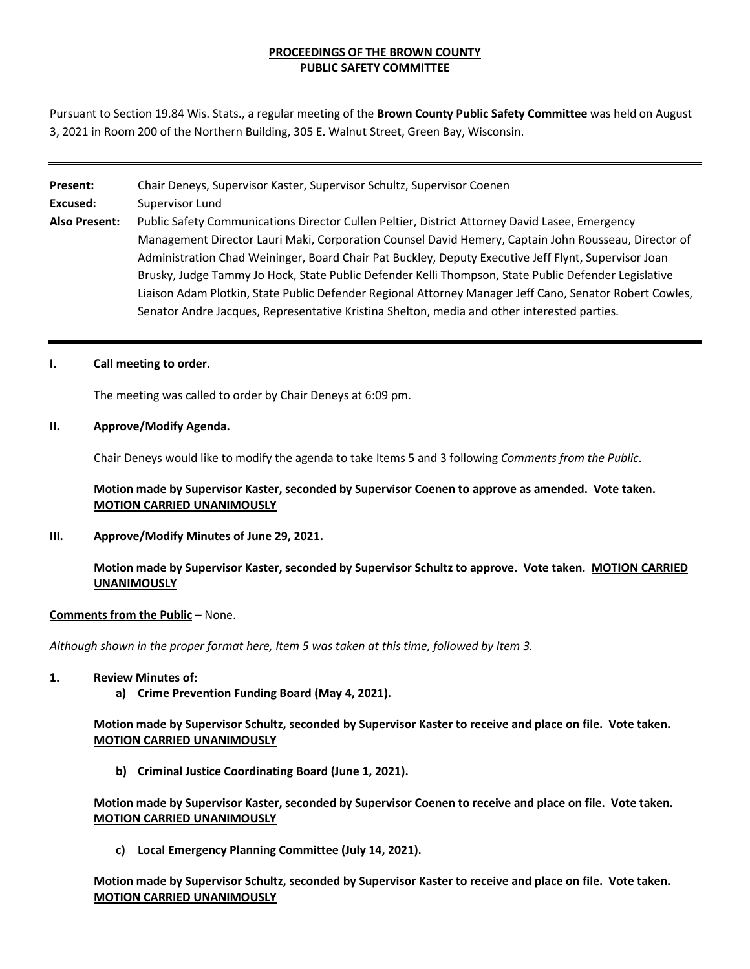## **PROCEEDINGS OF THE BROWN COUNTY PUBLIC SAFETY COMMITTEE**

Pursuant to Section 19.84 Wis. Stats., a regular meeting of the **Brown County Public Safety Committee** was held on August 3, 2021 in Room 200 of the Northern Building, 305 E. Walnut Street, Green Bay, Wisconsin.

#### **Present:** Chair Deneys, Supervisor Kaster, Supervisor Schultz, Supervisor Coenen

**Excused:** Supervisor Lund

**Also Present:** Public Safety Communications Director Cullen Peltier, District Attorney David Lasee, Emergency Management Director Lauri Maki, Corporation Counsel David Hemery, Captain John Rousseau, Director of Administration Chad Weininger, Board Chair Pat Buckley, Deputy Executive Jeff Flynt, Supervisor Joan Brusky, Judge Tammy Jo Hock, State Public Defender Kelli Thompson, State Public Defender Legislative Liaison Adam Plotkin, State Public Defender Regional Attorney Manager Jeff Cano, Senator Robert Cowles, Senator Andre Jacques, Representative Kristina Shelton, media and other interested parties.

## **I. Call meeting to order.**

The meeting was called to order by Chair Deneys at 6:09 pm.

## **II. Approve/Modify Agenda.**

Chair Deneys would like to modify the agenda to take Items 5 and 3 following *Comments from the Public*.

## **Motion made by Supervisor Kaster, seconded by Supervisor Coenen to approve as amended. Vote taken. MOTION CARRIED UNANIMOUSLY**

**III. Approve/Modify Minutes of June 29, 2021.** 

## **Motion made by Supervisor Kaster, seconded by Supervisor Schultz to approve. Vote taken. MOTION CARRIED UNANIMOUSLY**

## **Comments from the Public** – None.

*Although shown in the proper format here, Item 5 was taken at this time, followed by Item 3.* 

#### **1. Review Minutes of:**

**a) Crime Prevention Funding Board (May 4, 2021).**

## **Motion made by Supervisor Schultz, seconded by Supervisor Kaster to receive and place on file. Vote taken. MOTION CARRIED UNANIMOUSLY**

**b) Criminal Justice Coordinating Board (June 1, 2021).**

**Motion made by Supervisor Kaster, seconded by Supervisor Coenen to receive and place on file. Vote taken. MOTION CARRIED UNANIMOUSLY**

**c) Local Emergency Planning Committee (July 14, 2021).**

**Motion made by Supervisor Schultz, seconded by Supervisor Kaster to receive and place on file. Vote taken. MOTION CARRIED UNANIMOUSLY**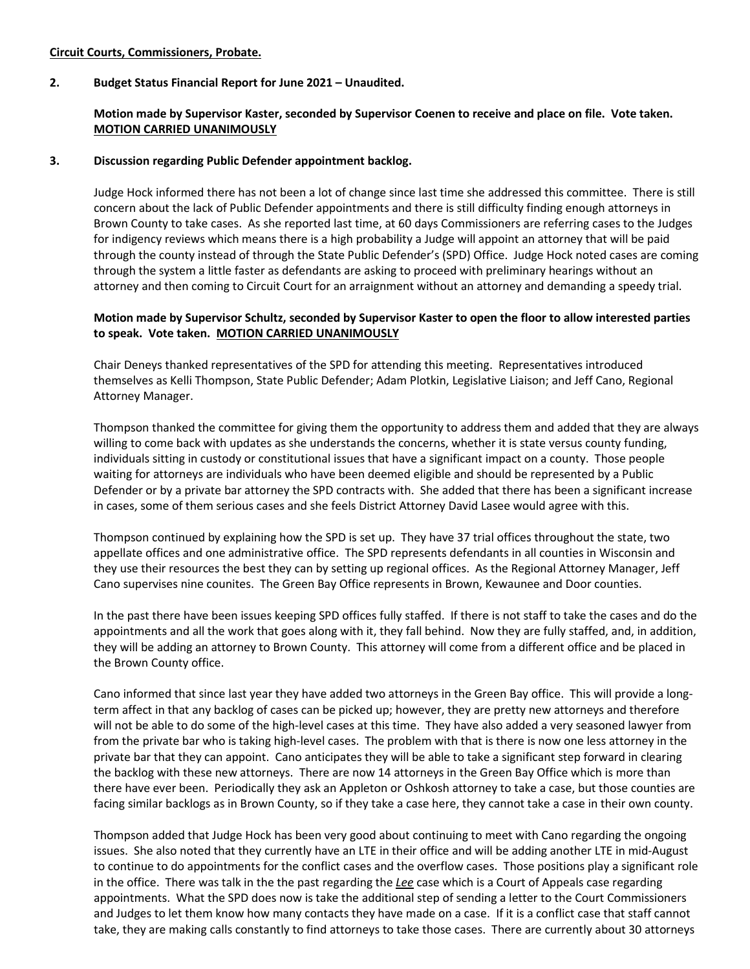## **Circuit Courts, Commissioners, Probate.**

#### **2. Budget Status Financial Report for June 2021 – Unaudited.**

## **Motion made by Supervisor Kaster, seconded by Supervisor Coenen to receive and place on file. Vote taken. MOTION CARRIED UNANIMOUSLY**

#### **3. Discussion regarding Public Defender appointment backlog.**

Judge Hock informed there has not been a lot of change since last time she addressed this committee. There is still concern about the lack of Public Defender appointments and there is still difficulty finding enough attorneys in Brown County to take cases. As she reported last time, at 60 days Commissioners are referring cases to the Judges for indigency reviews which means there is a high probability a Judge will appoint an attorney that will be paid through the county instead of through the State Public Defender's (SPD) Office. Judge Hock noted cases are coming through the system a little faster as defendants are asking to proceed with preliminary hearings without an attorney and then coming to Circuit Court for an arraignment without an attorney and demanding a speedy trial.

## **Motion made by Supervisor Schultz, seconded by Supervisor Kaster to open the floor to allow interested parties to speak. Vote taken. MOTION CARRIED UNANIMOUSLY**

Chair Deneys thanked representatives of the SPD for attending this meeting. Representatives introduced themselves as Kelli Thompson, State Public Defender; Adam Plotkin, Legislative Liaison; and Jeff Cano, Regional Attorney Manager.

Thompson thanked the committee for giving them the opportunity to address them and added that they are always willing to come back with updates as she understands the concerns, whether it is state versus county funding, individuals sitting in custody or constitutional issues that have a significant impact on a county. Those people waiting for attorneys are individuals who have been deemed eligible and should be represented by a Public Defender or by a private bar attorney the SPD contracts with. She added that there has been a significant increase in cases, some of them serious cases and she feels District Attorney David Lasee would agree with this.

Thompson continued by explaining how the SPD is set up. They have 37 trial offices throughout the state, two appellate offices and one administrative office. The SPD represents defendants in all counties in Wisconsin and they use their resources the best they can by setting up regional offices. As the Regional Attorney Manager, Jeff Cano supervises nine counites. The Green Bay Office represents in Brown, Kewaunee and Door counties.

In the past there have been issues keeping SPD offices fully staffed. If there is not staff to take the cases and do the appointments and all the work that goes along with it, they fall behind. Now they are fully staffed, and, in addition, they will be adding an attorney to Brown County. This attorney will come from a different office and be placed in the Brown County office.

Cano informed that since last year they have added two attorneys in the Green Bay office. This will provide a longterm affect in that any backlog of cases can be picked up; however, they are pretty new attorneys and therefore will not be able to do some of the high-level cases at this time. They have also added a very seasoned lawyer from from the private bar who is taking high-level cases. The problem with that is there is now one less attorney in the private bar that they can appoint. Cano anticipates they will be able to take a significant step forward in clearing the backlog with these new attorneys. There are now 14 attorneys in the Green Bay Office which is more than there have ever been. Periodically they ask an Appleton or Oshkosh attorney to take a case, but those counties are facing similar backlogs as in Brown County, so if they take a case here, they cannot take a case in their own county.

Thompson added that Judge Hock has been very good about continuing to meet with Cano regarding the ongoing issues. She also noted that they currently have an LTE in their office and will be adding another LTE in mid-August to continue to do appointments for the conflict cases and the overflow cases. Those positions play a significant role in the office. There was talk in the the past regarding the *Lee* case which is a Court of Appeals case regarding appointments. What the SPD does now is take the additional step of sending a letter to the Court Commissioners and Judges to let them know how many contacts they have made on a case. If it is a conflict case that staff cannot take, they are making calls constantly to find attorneys to take those cases. There are currently about 30 attorneys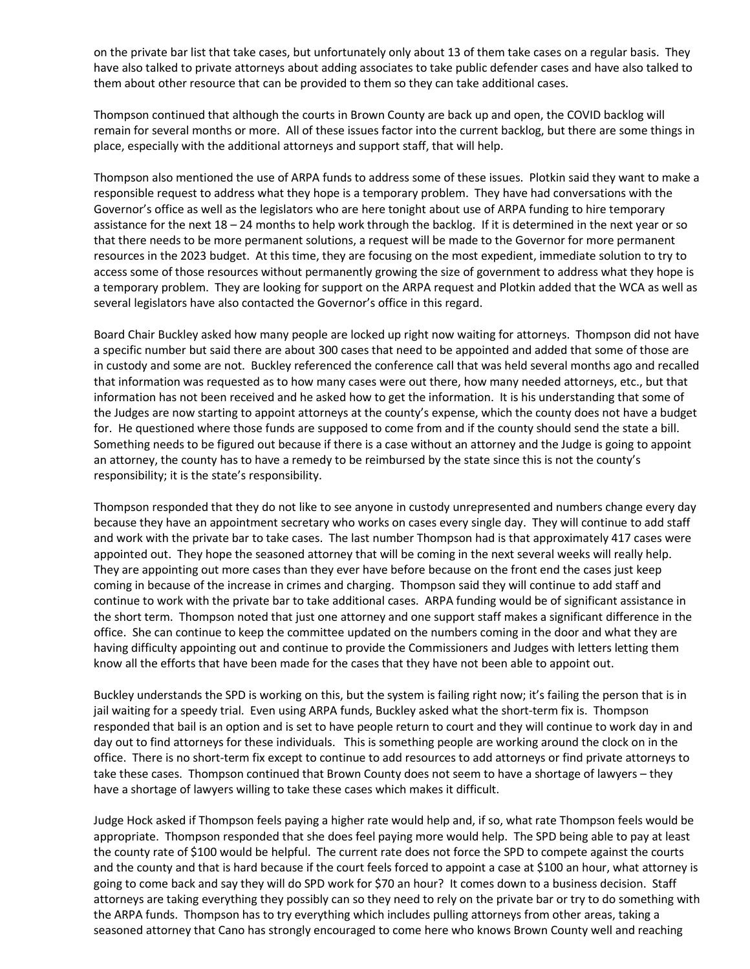on the private bar list that take cases, but unfortunately only about 13 of them take cases on a regular basis. They have also talked to private attorneys about adding associates to take public defender cases and have also talked to them about other resource that can be provided to them so they can take additional cases.

Thompson continued that although the courts in Brown County are back up and open, the COVID backlog will remain for several months or more. All of these issues factor into the current backlog, but there are some things in place, especially with the additional attorneys and support staff, that will help.

Thompson also mentioned the use of ARPA funds to address some of these issues. Plotkin said they want to make a responsible request to address what they hope is a temporary problem. They have had conversations with the Governor's office as well as the legislators who are here tonight about use of ARPA funding to hire temporary assistance for the next 18 – 24 months to help work through the backlog. If it is determined in the next year or so that there needs to be more permanent solutions, a request will be made to the Governor for more permanent resources in the 2023 budget. At this time, they are focusing on the most expedient, immediate solution to try to access some of those resources without permanently growing the size of government to address what they hope is a temporary problem. They are looking for support on the ARPA request and Plotkin added that the WCA as well as several legislators have also contacted the Governor's office in this regard.

Board Chair Buckley asked how many people are locked up right now waiting for attorneys. Thompson did not have a specific number but said there are about 300 cases that need to be appointed and added that some of those are in custody and some are not. Buckley referenced the conference call that was held several months ago and recalled that information was requested as to how many cases were out there, how many needed attorneys, etc., but that information has not been received and he asked how to get the information. It is his understanding that some of the Judges are now starting to appoint attorneys at the county's expense, which the county does not have a budget for. He questioned where those funds are supposed to come from and if the county should send the state a bill. Something needs to be figured out because if there is a case without an attorney and the Judge is going to appoint an attorney, the county has to have a remedy to be reimbursed by the state since this is not the county's responsibility; it is the state's responsibility.

Thompson responded that they do not like to see anyone in custody unrepresented and numbers change every day because they have an appointment secretary who works on cases every single day. They will continue to add staff and work with the private bar to take cases. The last number Thompson had is that approximately 417 cases were appointed out. They hope the seasoned attorney that will be coming in the next several weeks will really help. They are appointing out more cases than they ever have before because on the front end the cases just keep coming in because of the increase in crimes and charging. Thompson said they will continue to add staff and continue to work with the private bar to take additional cases. ARPA funding would be of significant assistance in the short term. Thompson noted that just one attorney and one support staff makes a significant difference in the office. She can continue to keep the committee updated on the numbers coming in the door and what they are having difficulty appointing out and continue to provide the Commissioners and Judges with letters letting them know all the efforts that have been made for the cases that they have not been able to appoint out.

Buckley understands the SPD is working on this, but the system is failing right now; it's failing the person that is in jail waiting for a speedy trial. Even using ARPA funds, Buckley asked what the short-term fix is. Thompson responded that bail is an option and is set to have people return to court and they will continue to work day in and day out to find attorneys for these individuals. This is something people are working around the clock on in the office. There is no short-term fix except to continue to add resources to add attorneys or find private attorneys to take these cases. Thompson continued that Brown County does not seem to have a shortage of lawyers – they have a shortage of lawyers willing to take these cases which makes it difficult.

Judge Hock asked if Thompson feels paying a higher rate would help and, if so, what rate Thompson feels would be appropriate. Thompson responded that she does feel paying more would help. The SPD being able to pay at least the county rate of \$100 would be helpful. The current rate does not force the SPD to compete against the courts and the county and that is hard because if the court feels forced to appoint a case at \$100 an hour, what attorney is going to come back and say they will do SPD work for \$70 an hour? It comes down to a business decision. Staff attorneys are taking everything they possibly can so they need to rely on the private bar or try to do something with the ARPA funds. Thompson has to try everything which includes pulling attorneys from other areas, taking a seasoned attorney that Cano has strongly encouraged to come here who knows Brown County well and reaching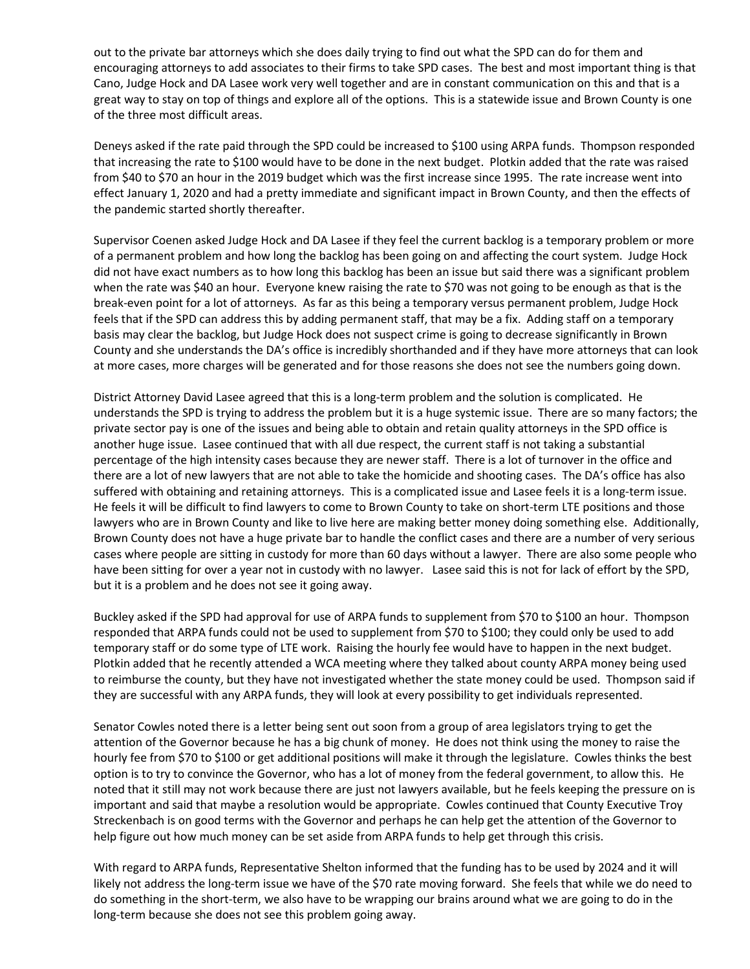out to the private bar attorneys which she does daily trying to find out what the SPD can do for them and encouraging attorneys to add associates to their firms to take SPD cases. The best and most important thing is that Cano, Judge Hock and DA Lasee work very well together and are in constant communication on this and that is a great way to stay on top of things and explore all of the options. This is a statewide issue and Brown County is one of the three most difficult areas.

Deneys asked if the rate paid through the SPD could be increased to \$100 using ARPA funds. Thompson responded that increasing the rate to \$100 would have to be done in the next budget. Plotkin added that the rate was raised from \$40 to \$70 an hour in the 2019 budget which was the first increase since 1995. The rate increase went into effect January 1, 2020 and had a pretty immediate and significant impact in Brown County, and then the effects of the pandemic started shortly thereafter.

Supervisor Coenen asked Judge Hock and DA Lasee if they feel the current backlog is a temporary problem or more of a permanent problem and how long the backlog has been going on and affecting the court system. Judge Hock did not have exact numbers as to how long this backlog has been an issue but said there was a significant problem when the rate was \$40 an hour. Everyone knew raising the rate to \$70 was not going to be enough as that is the break-even point for a lot of attorneys. As far as this being a temporary versus permanent problem, Judge Hock feels that if the SPD can address this by adding permanent staff, that may be a fix. Adding staff on a temporary basis may clear the backlog, but Judge Hock does not suspect crime is going to decrease significantly in Brown County and she understands the DA's office is incredibly shorthanded and if they have more attorneys that can look at more cases, more charges will be generated and for those reasons she does not see the numbers going down.

District Attorney David Lasee agreed that this is a long-term problem and the solution is complicated. He understands the SPD is trying to address the problem but it is a huge systemic issue. There are so many factors; the private sector pay is one of the issues and being able to obtain and retain quality attorneys in the SPD office is another huge issue. Lasee continued that with all due respect, the current staff is not taking a substantial percentage of the high intensity cases because they are newer staff. There is a lot of turnover in the office and there are a lot of new lawyers that are not able to take the homicide and shooting cases. The DA's office has also suffered with obtaining and retaining attorneys. This is a complicated issue and Lasee feels it is a long-term issue. He feels it will be difficult to find lawyers to come to Brown County to take on short-term LTE positions and those lawyers who are in Brown County and like to live here are making better money doing something else. Additionally, Brown County does not have a huge private bar to handle the conflict cases and there are a number of very serious cases where people are sitting in custody for more than 60 days without a lawyer. There are also some people who have been sitting for over a year not in custody with no lawyer. Lasee said this is not for lack of effort by the SPD, but it is a problem and he does not see it going away.

Buckley asked if the SPD had approval for use of ARPA funds to supplement from \$70 to \$100 an hour. Thompson responded that ARPA funds could not be used to supplement from \$70 to \$100; they could only be used to add temporary staff or do some type of LTE work. Raising the hourly fee would have to happen in the next budget. Plotkin added that he recently attended a WCA meeting where they talked about county ARPA money being used to reimburse the county, but they have not investigated whether the state money could be used. Thompson said if they are successful with any ARPA funds, they will look at every possibility to get individuals represented.

Senator Cowles noted there is a letter being sent out soon from a group of area legislators trying to get the attention of the Governor because he has a big chunk of money. He does not think using the money to raise the hourly fee from \$70 to \$100 or get additional positions will make it through the legislature. Cowles thinks the best option is to try to convince the Governor, who has a lot of money from the federal government, to allow this. He noted that it still may not work because there are just not lawyers available, but he feels keeping the pressure on is important and said that maybe a resolution would be appropriate. Cowles continued that County Executive Troy Streckenbach is on good terms with the Governor and perhaps he can help get the attention of the Governor to help figure out how much money can be set aside from ARPA funds to help get through this crisis.

With regard to ARPA funds, Representative Shelton informed that the funding has to be used by 2024 and it will likely not address the long-term issue we have of the \$70 rate moving forward. She feels that while we do need to do something in the short-term, we also have to be wrapping our brains around what we are going to do in the long-term because she does not see this problem going away.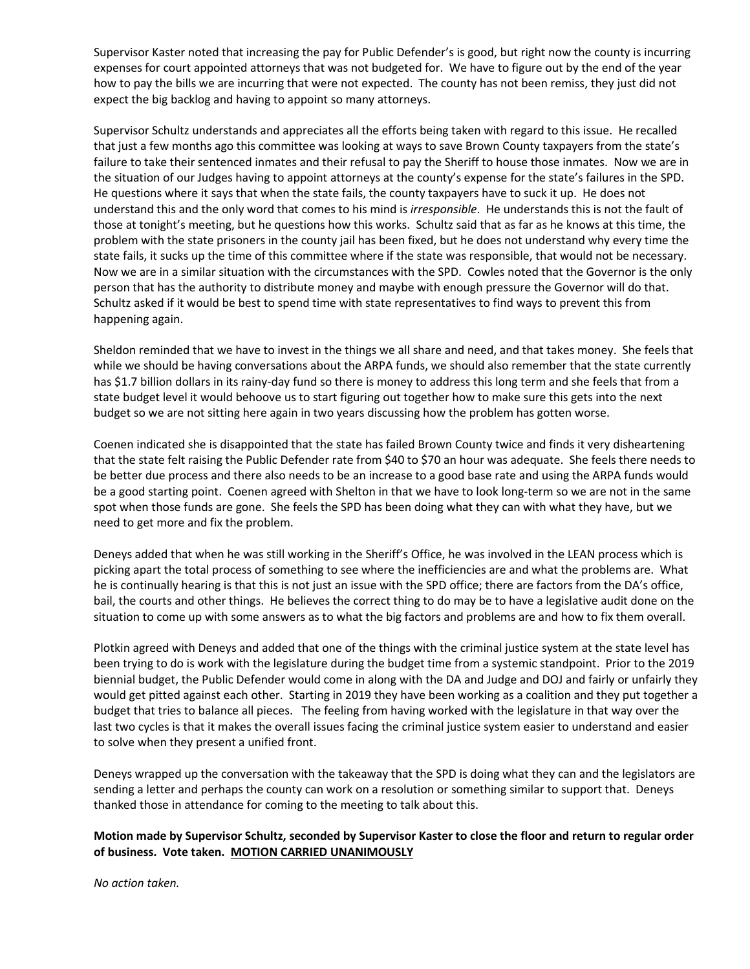Supervisor Kaster noted that increasing the pay for Public Defender's is good, but right now the county is incurring expenses for court appointed attorneys that was not budgeted for. We have to figure out by the end of the year how to pay the bills we are incurring that were not expected. The county has not been remiss, they just did not expect the big backlog and having to appoint so many attorneys.

Supervisor Schultz understands and appreciates all the efforts being taken with regard to this issue. He recalled that just a few months ago this committee was looking at ways to save Brown County taxpayers from the state's failure to take their sentenced inmates and their refusal to pay the Sheriff to house those inmates. Now we are in the situation of our Judges having to appoint attorneys at the county's expense for the state's failures in the SPD. He questions where it says that when the state fails, the county taxpayers have to suck it up. He does not understand this and the only word that comes to his mind is *irresponsible*. He understands this is not the fault of those at tonight's meeting, but he questions how this works. Schultz said that as far as he knows at this time, the problem with the state prisoners in the county jail has been fixed, but he does not understand why every time the state fails, it sucks up the time of this committee where if the state was responsible, that would not be necessary. Now we are in a similar situation with the circumstances with the SPD. Cowles noted that the Governor is the only person that has the authority to distribute money and maybe with enough pressure the Governor will do that. Schultz asked if it would be best to spend time with state representatives to find ways to prevent this from happening again.

Sheldon reminded that we have to invest in the things we all share and need, and that takes money. She feels that while we should be having conversations about the ARPA funds, we should also remember that the state currently has \$1.7 billion dollars in its rainy-day fund so there is money to address this long term and she feels that from a state budget level it would behoove us to start figuring out together how to make sure this gets into the next budget so we are not sitting here again in two years discussing how the problem has gotten worse.

Coenen indicated she is disappointed that the state has failed Brown County twice and finds it very disheartening that the state felt raising the Public Defender rate from \$40 to \$70 an hour was adequate. She feels there needs to be better due process and there also needs to be an increase to a good base rate and using the ARPA funds would be a good starting point. Coenen agreed with Shelton in that we have to look long-term so we are not in the same spot when those funds are gone. She feels the SPD has been doing what they can with what they have, but we need to get more and fix the problem.

Deneys added that when he was still working in the Sheriff's Office, he was involved in the LEAN process which is picking apart the total process of something to see where the inefficiencies are and what the problems are. What he is continually hearing is that this is not just an issue with the SPD office; there are factors from the DA's office, bail, the courts and other things. He believes the correct thing to do may be to have a legislative audit done on the situation to come up with some answers as to what the big factors and problems are and how to fix them overall.

Plotkin agreed with Deneys and added that one of the things with the criminal justice system at the state level has been trying to do is work with the legislature during the budget time from a systemic standpoint. Prior to the 2019 biennial budget, the Public Defender would come in along with the DA and Judge and DOJ and fairly or unfairly they would get pitted against each other. Starting in 2019 they have been working as a coalition and they put together a budget that tries to balance all pieces. The feeling from having worked with the legislature in that way over the last two cycles is that it makes the overall issues facing the criminal justice system easier to understand and easier to solve when they present a unified front.

Deneys wrapped up the conversation with the takeaway that the SPD is doing what they can and the legislators are sending a letter and perhaps the county can work on a resolution or something similar to support that. Deneys thanked those in attendance for coming to the meeting to talk about this.

## **Motion made by Supervisor Schultz, seconded by Supervisor Kaster to close the floor and return to regular order of business. Vote taken. MOTION CARRIED UNANIMOUSLY**

*No action taken.*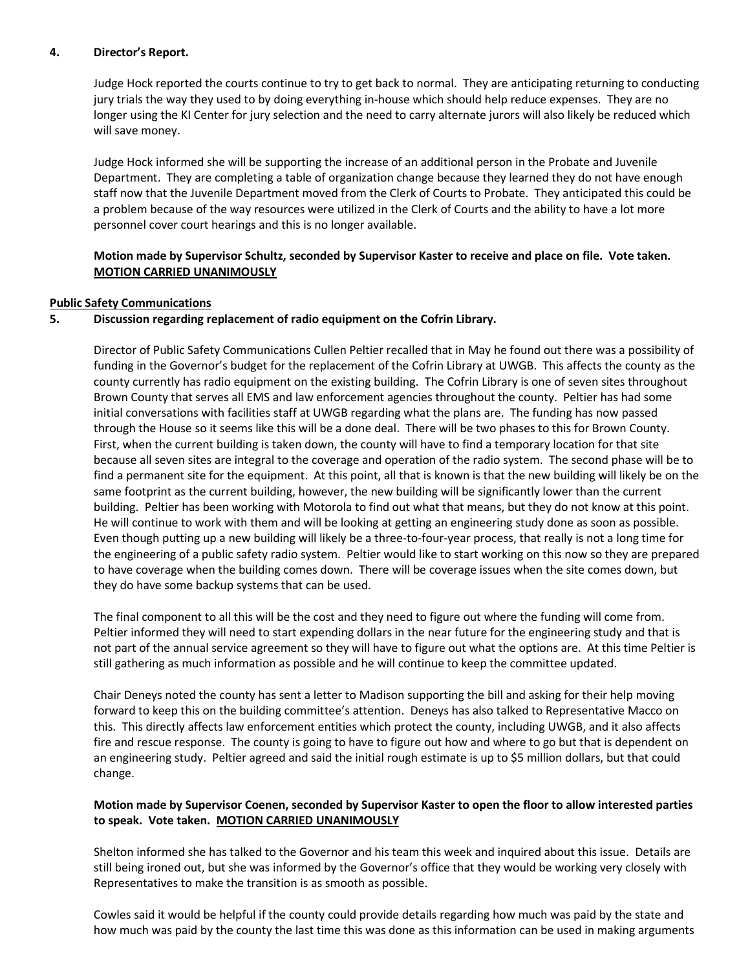## **4. Director's Report.**

Judge Hock reported the courts continue to try to get back to normal. They are anticipating returning to conducting jury trials the way they used to by doing everything in-house which should help reduce expenses. They are no longer using the KI Center for jury selection and the need to carry alternate jurors will also likely be reduced which will save money.

Judge Hock informed she will be supporting the increase of an additional person in the Probate and Juvenile Department. They are completing a table of organization change because they learned they do not have enough staff now that the Juvenile Department moved from the Clerk of Courts to Probate. They anticipated this could be a problem because of the way resources were utilized in the Clerk of Courts and the ability to have a lot more personnel cover court hearings and this is no longer available.

## **Motion made by Supervisor Schultz, seconded by Supervisor Kaster to receive and place on file. Vote taken. MOTION CARRIED UNANIMOUSLY**

## **Public Safety Communications**

## **5. Discussion regarding replacement of radio equipment on the Cofrin Library.**

Director of Public Safety Communications Cullen Peltier recalled that in May he found out there was a possibility of funding in the Governor's budget for the replacement of the Cofrin Library at UWGB. This affects the county as the county currently has radio equipment on the existing building. The Cofrin Library is one of seven sites throughout Brown County that serves all EMS and law enforcement agencies throughout the county. Peltier has had some initial conversations with facilities staff at UWGB regarding what the plans are. The funding has now passed through the House so it seems like this will be a done deal. There will be two phases to this for Brown County. First, when the current building is taken down, the county will have to find a temporary location for that site because all seven sites are integral to the coverage and operation of the radio system. The second phase will be to find a permanent site for the equipment. At this point, all that is known is that the new building will likely be on the same footprint as the current building, however, the new building will be significantly lower than the current building. Peltier has been working with Motorola to find out what that means, but they do not know at this point. He will continue to work with them and will be looking at getting an engineering study done as soon as possible. Even though putting up a new building will likely be a three-to-four-year process, that really is not a long time for the engineering of a public safety radio system. Peltier would like to start working on this now so they are prepared to have coverage when the building comes down. There will be coverage issues when the site comes down, but they do have some backup systems that can be used.

The final component to all this will be the cost and they need to figure out where the funding will come from. Peltier informed they will need to start expending dollars in the near future for the engineering study and that is not part of the annual service agreement so they will have to figure out what the options are. At this time Peltier is still gathering as much information as possible and he will continue to keep the committee updated.

Chair Deneys noted the county has sent a letter to Madison supporting the bill and asking for their help moving forward to keep this on the building committee's attention. Deneys has also talked to Representative Macco on this. This directly affects law enforcement entities which protect the county, including UWGB, and it also affects fire and rescue response. The county is going to have to figure out how and where to go but that is dependent on an engineering study. Peltier agreed and said the initial rough estimate is up to \$5 million dollars, but that could change.

## **Motion made by Supervisor Coenen, seconded by Supervisor Kaster to open the floor to allow interested parties to speak. Vote taken. MOTION CARRIED UNANIMOUSLY**

Shelton informed she has talked to the Governor and his team this week and inquired about this issue. Details are still being ironed out, but she was informed by the Governor's office that they would be working very closely with Representatives to make the transition is as smooth as possible.

Cowles said it would be helpful if the county could provide details regarding how much was paid by the state and how much was paid by the county the last time this was done as this information can be used in making arguments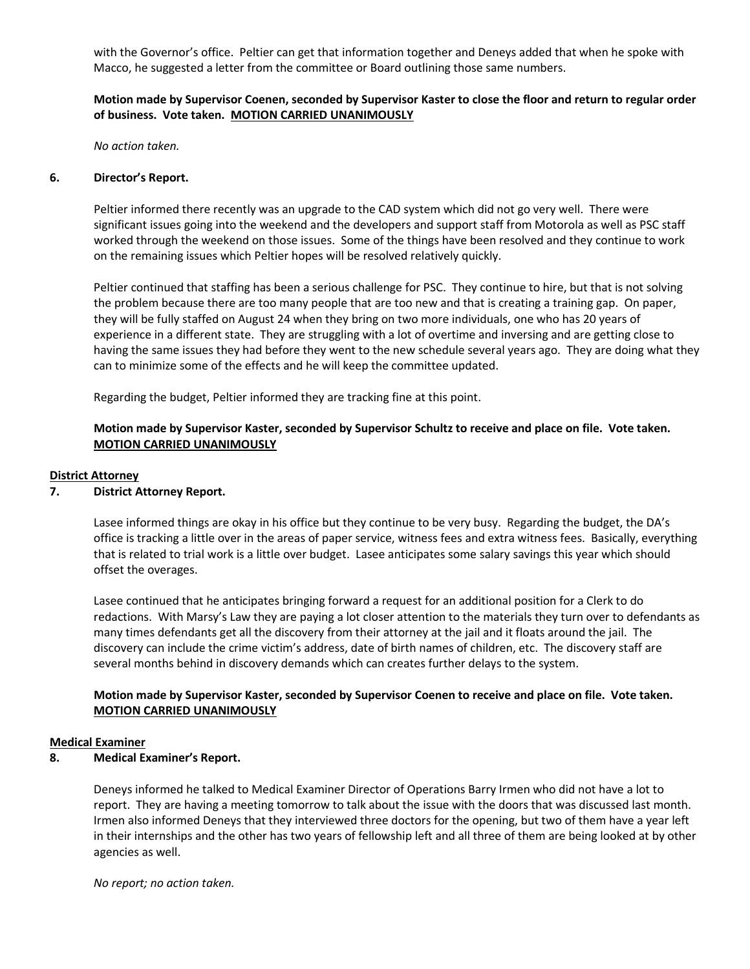with the Governor's office. Peltier can get that information together and Deneys added that when he spoke with Macco, he suggested a letter from the committee or Board outlining those same numbers.

## **Motion made by Supervisor Coenen, seconded by Supervisor Kaster to close the floor and return to regular order of business. Vote taken. MOTION CARRIED UNANIMOUSLY**

*No action taken.*

#### **6. Director's Report.**

Peltier informed there recently was an upgrade to the CAD system which did not go very well. There were significant issues going into the weekend and the developers and support staff from Motorola as well as PSC staff worked through the weekend on those issues. Some of the things have been resolved and they continue to work on the remaining issues which Peltier hopes will be resolved relatively quickly.

Peltier continued that staffing has been a serious challenge for PSC. They continue to hire, but that is not solving the problem because there are too many people that are too new and that is creating a training gap. On paper, they will be fully staffed on August 24 when they bring on two more individuals, one who has 20 years of experience in a different state. They are struggling with a lot of overtime and inversing and are getting close to having the same issues they had before they went to the new schedule several years ago. They are doing what they can to minimize some of the effects and he will keep the committee updated.

Regarding the budget, Peltier informed they are tracking fine at this point.

## **Motion made by Supervisor Kaster, seconded by Supervisor Schultz to receive and place on file. Vote taken. MOTION CARRIED UNANIMOUSLY**

#### **District Attorney**

## **7. District Attorney Report.**

Lasee informed things are okay in his office but they continue to be very busy. Regarding the budget, the DA's office is tracking a little over in the areas of paper service, witness fees and extra witness fees. Basically, everything that is related to trial work is a little over budget. Lasee anticipates some salary savings this year which should offset the overages.

Lasee continued that he anticipates bringing forward a request for an additional position for a Clerk to do redactions. With Marsy's Law they are paying a lot closer attention to the materials they turn over to defendants as many times defendants get all the discovery from their attorney at the jail and it floats around the jail. The discovery can include the crime victim's address, date of birth names of children, etc. The discovery staff are several months behind in discovery demands which can creates further delays to the system.

## **Motion made by Supervisor Kaster, seconded by Supervisor Coenen to receive and place on file. Vote taken. MOTION CARRIED UNANIMOUSLY**

#### **Medical Examiner**

**8. Medical Examiner's Report.** 

Deneys informed he talked to Medical Examiner Director of Operations Barry Irmen who did not have a lot to report. They are having a meeting tomorrow to talk about the issue with the doors that was discussed last month. Irmen also informed Deneys that they interviewed three doctors for the opening, but two of them have a year left in their internships and the other has two years of fellowship left and all three of them are being looked at by other agencies as well.

*No report; no action taken.*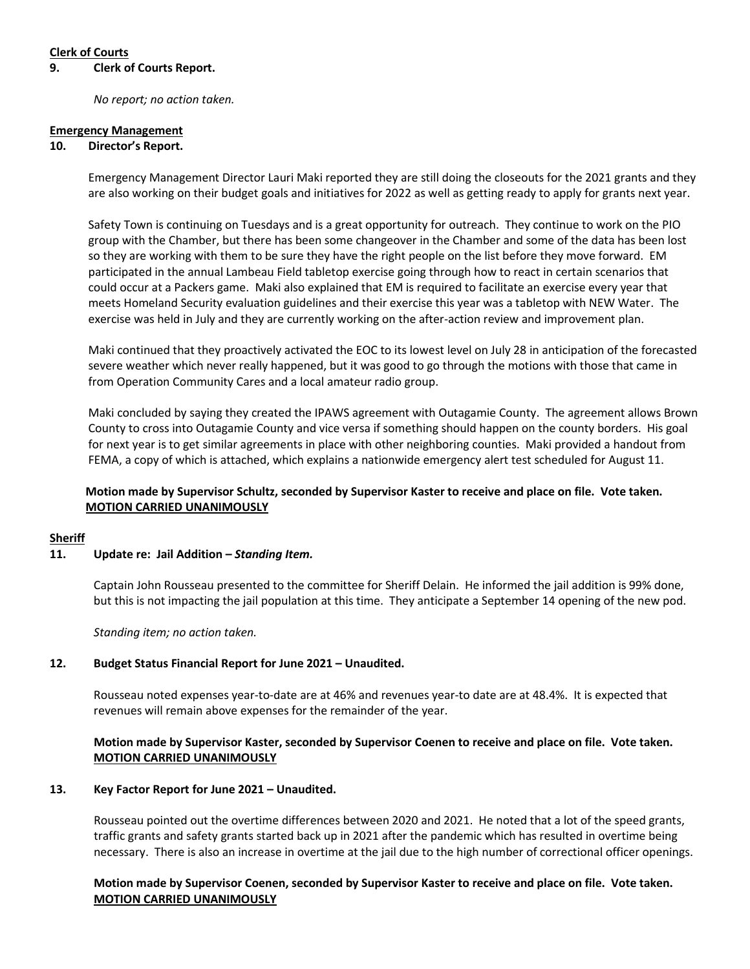## **Clerk of Courts**

#### **9. Clerk of Courts Report.**

*No report; no action taken.* 

#### **Emergency Management**

#### **10. Director's Report.**

Emergency Management Director Lauri Maki reported they are still doing the closeouts for the 2021 grants and they are also working on their budget goals and initiatives for 2022 as well as getting ready to apply for grants next year.

Safety Town is continuing on Tuesdays and is a great opportunity for outreach. They continue to work on the PIO group with the Chamber, but there has been some changeover in the Chamber and some of the data has been lost so they are working with them to be sure they have the right people on the list before they move forward. EM participated in the annual Lambeau Field tabletop exercise going through how to react in certain scenarios that could occur at a Packers game. Maki also explained that EM is required to facilitate an exercise every year that meets Homeland Security evaluation guidelines and their exercise this year was a tabletop with NEW Water. The exercise was held in July and they are currently working on the after-action review and improvement plan.

Maki continued that they proactively activated the EOC to its lowest level on July 28 in anticipation of the forecasted severe weather which never really happened, but it was good to go through the motions with those that came in from Operation Community Cares and a local amateur radio group.

Maki concluded by saying they created the IPAWS agreement with Outagamie County. The agreement allows Brown County to cross into Outagamie County and vice versa if something should happen on the county borders. His goal for next year is to get similar agreements in place with other neighboring counties. Maki provided a handout from FEMA, a copy of which is attached, which explains a nationwide emergency alert test scheduled for August 11.

## **Motion made by Supervisor Schultz, seconded by Supervisor Kaster to receive and place on file. Vote taken. MOTION CARRIED UNANIMOUSLY**

#### **Sheriff**

#### **11. Update re: Jail Addition –** *Standing Item.*

Captain John Rousseau presented to the committee for Sheriff Delain. He informed the jail addition is 99% done, but this is not impacting the jail population at this time. They anticipate a September 14 opening of the new pod.

*Standing item; no action taken.* 

#### **12. Budget Status Financial Report for June 2021 – Unaudited.**

Rousseau noted expenses year-to-date are at 46% and revenues year-to date are at 48.4%. It is expected that revenues will remain above expenses for the remainder of the year.

## **Motion made by Supervisor Kaster, seconded by Supervisor Coenen to receive and place on file. Vote taken. MOTION CARRIED UNANIMOUSLY**

#### **13. Key Factor Report for June 2021 – Unaudited.**

Rousseau pointed out the overtime differences between 2020 and 2021. He noted that a lot of the speed grants, traffic grants and safety grants started back up in 2021 after the pandemic which has resulted in overtime being necessary. There is also an increase in overtime at the jail due to the high number of correctional officer openings.

## **Motion made by Supervisor Coenen, seconded by Supervisor Kaster to receive and place on file. Vote taken. MOTION CARRIED UNANIMOUSLY**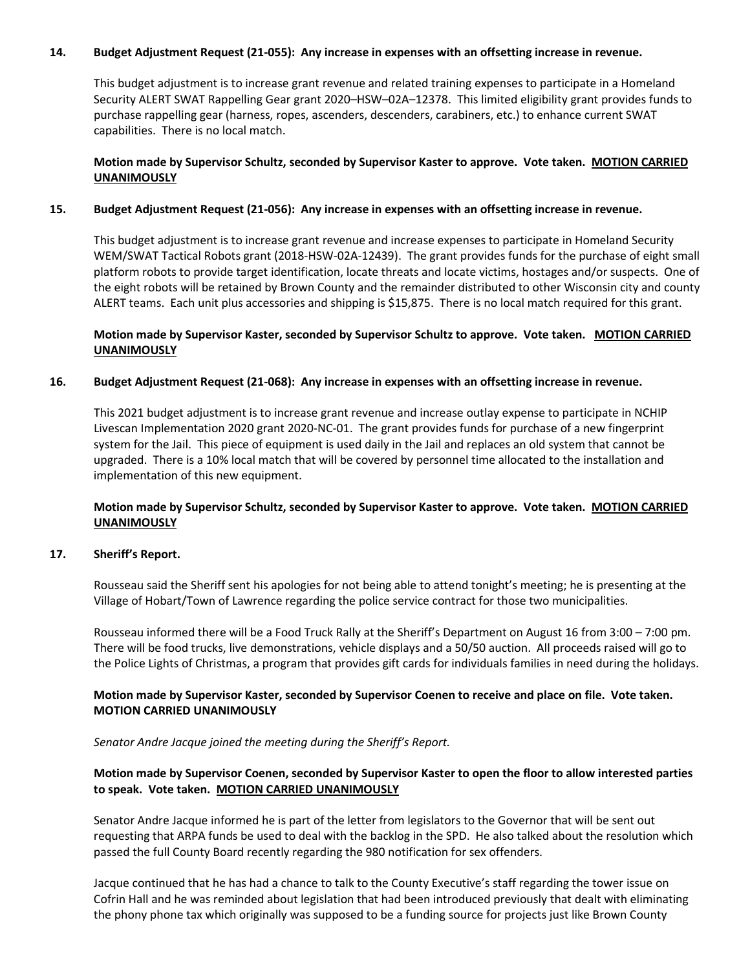#### **14. Budget Adjustment Request (21-055): Any increase in expenses with an offsetting increase in revenue.**

This budget adjustment is to increase grant revenue and related training expenses to participate in a Homeland Security ALERT SWAT Rappelling Gear grant 2020–HSW–02A–12378. This limited eligibility grant provides funds to purchase rappelling gear (harness, ropes, ascenders, descenders, carabiners, etc.) to enhance current SWAT capabilities. There is no local match.

## **Motion made by Supervisor Schultz, seconded by Supervisor Kaster to approve. Vote taken. MOTION CARRIED UNANIMOUSLY**

#### **15. Budget Adjustment Request (21-056): Any increase in expenses with an offsetting increase in revenue.**

This budget adjustment is to increase grant revenue and increase expenses to participate in Homeland Security WEM/SWAT Tactical Robots grant (2018-HSW-02A-12439). The grant provides funds for the purchase of eight small platform robots to provide target identification, locate threats and locate victims, hostages and/or suspects. One of the eight robots will be retained by Brown County and the remainder distributed to other Wisconsin city and county ALERT teams. Each unit plus accessories and shipping is \$15,875. There is no local match required for this grant.

## **Motion made by Supervisor Kaster, seconded by Supervisor Schultz to approve. Vote taken. MOTION CARRIED UNANIMOUSLY**

## **16. Budget Adjustment Request (21-068): Any increase in expenses with an offsetting increase in revenue.**

This 2021 budget adjustment is to increase grant revenue and increase outlay expense to participate in NCHIP Livescan Implementation 2020 grant 2020-NC-01. The grant provides funds for purchase of a new fingerprint system for the Jail. This piece of equipment is used daily in the Jail and replaces an old system that cannot be upgraded. There is a 10% local match that will be covered by personnel time allocated to the installation and implementation of this new equipment.

## **Motion made by Supervisor Schultz, seconded by Supervisor Kaster to approve. Vote taken. MOTION CARRIED UNANIMOUSLY**

#### **17. Sheriff's Report.**

Rousseau said the Sheriff sent his apologies for not being able to attend tonight's meeting; he is presenting at the Village of Hobart/Town of Lawrence regarding the police service contract for those two municipalities.

Rousseau informed there will be a Food Truck Rally at the Sheriff's Department on August 16 from 3:00 – 7:00 pm. There will be food trucks, live demonstrations, vehicle displays and a 50/50 auction. All proceeds raised will go to the Police Lights of Christmas, a program that provides gift cards for individuals families in need during the holidays.

## **Motion made by Supervisor Kaster, seconded by Supervisor Coenen to receive and place on file. Vote taken. MOTION CARRIED UNANIMOUSLY**

*Senator Andre Jacque joined the meeting during the Sheriff's Report.*

## **Motion made by Supervisor Coenen, seconded by Supervisor Kaster to open the floor to allow interested parties to speak. Vote taken. MOTION CARRIED UNANIMOUSLY**

Senator Andre Jacque informed he is part of the letter from legislators to the Governor that will be sent out requesting that ARPA funds be used to deal with the backlog in the SPD. He also talked about the resolution which passed the full County Board recently regarding the 980 notification for sex offenders.

Jacque continued that he has had a chance to talk to the County Executive's staff regarding the tower issue on Cofrin Hall and he was reminded about legislation that had been introduced previously that dealt with eliminating the phony phone tax which originally was supposed to be a funding source for projects just like Brown County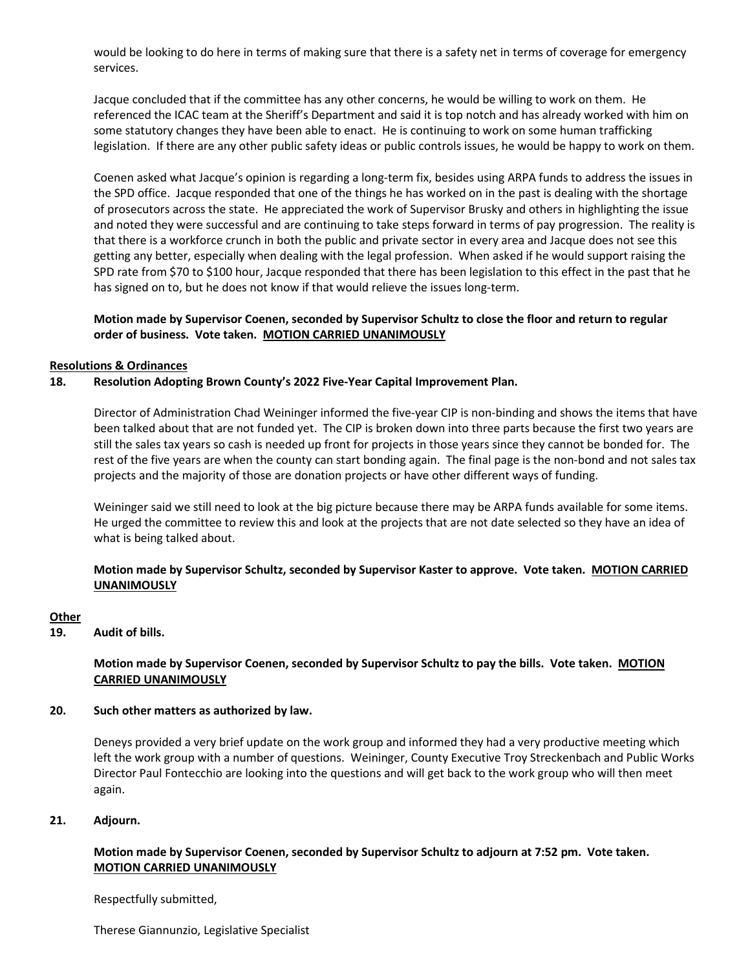would be looking to do here in terms of making sure that there is a safety net in terms of coverage for emergency services.

Jacque concluded that if the committee has any other concerns, he would be willing to work on them. He referenced the ICAC team at the Sheriff's Department and said it is top notch and has already worked with him on some statutory changes they have been able to enact. He is continuing to work on some human trafficking legislation. If there are any other public safety ideas or public controls issues, he would be happy to work on them.

Coenen asked what Jacque's opinion is regarding a long-term fix, besides using ARPA funds to address the issues in the SPD office. Jacque responded that one of the things he has worked on in the past is dealing with the shortage of prosecutors across the state. He appreciated the work of Supervisor Brusky and others in highlighting the issue and noted they were successful and are continuing to take steps forward in terms of pay progression. The reality is that there is a workforce crunch in both the public and private sector in every area and Jacque does not see this getting any better, especially when dealing with the legal profession. When asked if he would support raising the SPD rate from \$70 to \$100 hour, Jacque responded that there has been legislation to this effect in the past that he has signed on to, but he does not know if that would relieve the issues long-term.

## **Motion made by Supervisor Coenen, seconded by Supervisor Schultz to close the floor and return to regular order of business. Vote taken. MOTION CARRIED UNANIMOUSLY**

#### **Resolutions & Ordinances**

## **18. Resolution Adopting Brown County's 2022 Five-Year Capital Improvement Plan.**

Director of Administration Chad Weininger informed the five-year CIP is non-binding and shows the items that have been talked about that are not funded yet. The CIP is broken down into three parts because the first two years are still the sales tax years so cash is needed up front for projects in those years since they cannot be bonded for. The rest of the five years are when the county can start bonding again. The final page is the non-bond and not sales tax projects and the majority of those are donation projects or have other different ways of funding.

Weininger said we still need to look at the big picture because there may be ARPA funds available for some items. He urged the committee to review this and look at the projects that are not date selected so they have an idea of what is being talked about.

## **Motion made by Supervisor Schultz, seconded by Supervisor Kaster to approve. Vote taken. MOTION CARRIED UNANIMOUSLY**

#### **Other**

**19. Audit of bills.**

## **Motion made by Supervisor Coenen, seconded by Supervisor Schultz to pay the bills. Vote taken. MOTION CARRIED UNANIMOUSLY**

#### **20. Such other matters as authorized by law.**

Deneys provided a very brief update on the work group and informed they had a very productive meeting which left the work group with a number of questions. Weininger, County Executive Troy Streckenbach and Public Works Director Paul Fontecchio are looking into the questions and will get back to the work group who will then meet again.

#### **21. Adjourn.**

## **Motion made by Supervisor Coenen, seconded by Supervisor Schultz to adjourn at 7:52 pm. Vote taken. MOTION CARRIED UNANIMOUSLY**

Respectfully submitted,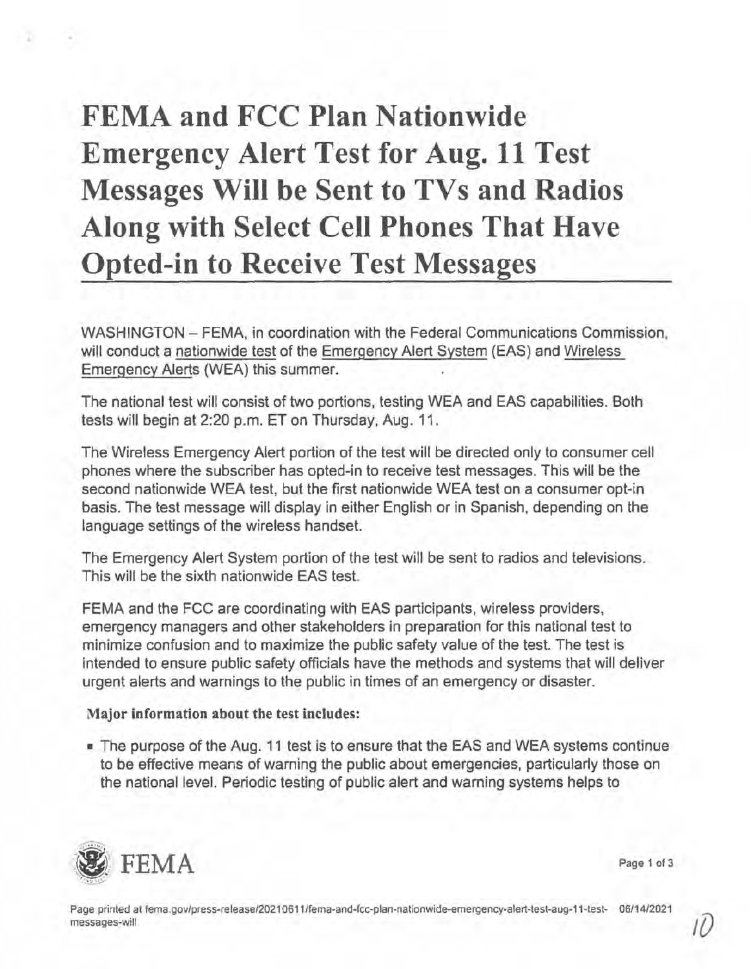# **FEMA and FCC Plan Nationwide Emergency Alert Test for Aug. 11 Test Messages Will be Sent to TVs and Radios Along with Select Cell Phones That Have Opted-in to Receive Test Messages**

WASHINGTON - FEMA, in coordination with the Federal Communications Commission, will conduct a nationwide test of the Emergency Alert System (EAS) and Wireless Emergency Alerts (WEA) this summer.

The national test will consist of two portions, testing WEA and EAS capabilities. Both tests will begin at 2:20 p.m. ET on Thursday, Aug. 11.

The Wireless Emergency Alert portion of the test will be directed only to consumer cell phones where the subscriber has opted-in to receive test messages. This will be the second nationwide WEA test, but the first nationwide WEA test on a consumer opt-in basis. The test message will display in either English or in Spanish, depending on the language settings of the wireless handset.

The Emergency Alert System portion of the test will be sent to radios and televisions. This will be the sixth nationwide EAS test.

FEMA and the FCC are coordinating with EAS participants, wireless providers, emergency managers and other stakeholders in preparation for this national test to minimize confusion and to maximize the public safety value of the test. The test is intended to ensure public safety officials have the methods and systems that will deliver urgent alerts and warnings to the public in times of an emergency or disaster.

# **Major information about the test includes:**

■ The purpose of the Aug. 11 test is to ensure that the EAS and WEA systems continue to be effective means of warning the public about emergencies, particularly those on the national level. Periodic testing of public alert and warning systems helps to



**Page** 1 of 3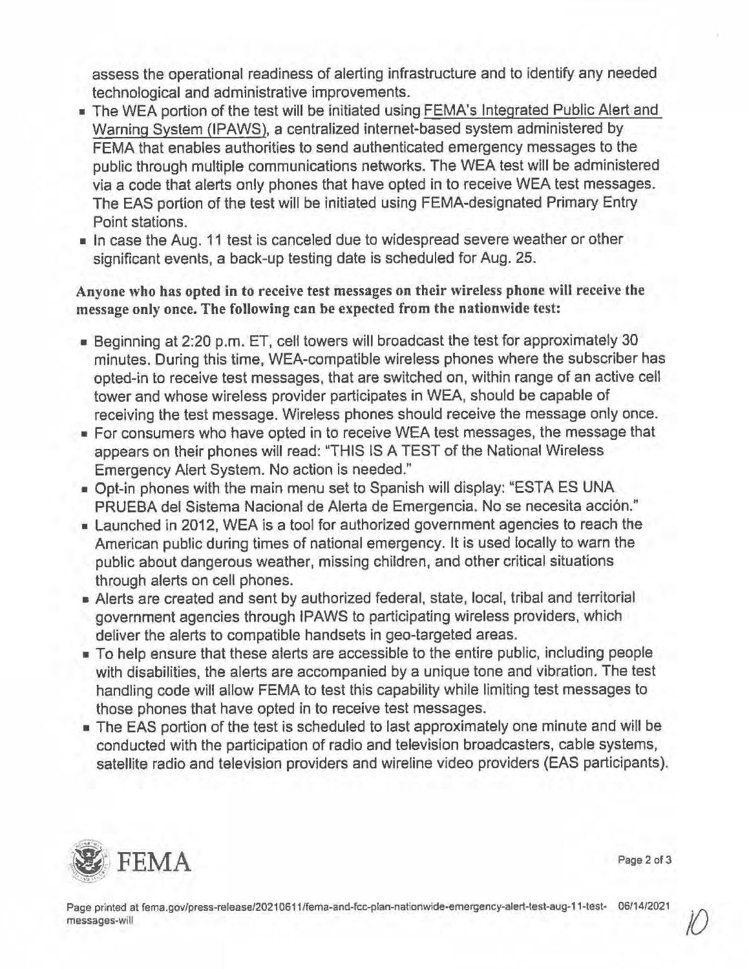assess the operational readiness of alerting infrastructure and to identify any needed technological and administrative improvements.

- The WEA portion of the test will be initiated using FEMA's Integrated Public Alert and Warning System (IPAWS), a centralized internet-based system administered by FEMA that enables authorities to send authenticated emergency messages to the public through multiple communications networks. The WEA test will be administered via a code that alerts only phones that have opted in to receive WEA test messages. The EAS portion of the test will be initiated using FEMA-designated Primary Entry Point stations.
- In case the Aug. 11 test is canceled due to widespread severe weather or other significant events, a back-up testing date is scheduled for Aug. 25.

**Anyone who has opted in to receive test messages on their wireless phone will receive the message only once. The following can be expected from the nationwide test:** 

- Beginning at 2:20 p.m. ET, cell towers will broadcast the test for approximately 30 minutes. During this time, WEA-compatible wireless phones where the subscriber has opted-in to receive test messages, that are switched on, within range of an active cell tower and whose wireless provider participates in WEA, should be capable of receiving the test message. Wireless phones should receive the message only once.
- For consumers who have opted in to receive WEA test messages, the message that appears on their phones will read: "THIS IS A TEST of the National Wireless Emergency Alert System. No action is needed."
- Opt-in phones with the main menu set to Spanish will display: "ESTA ES UNA PRUEBA del Sistema Nacional de Alerta de Emergencia. No se necesita acción."
- Launched in 2012, WEA is a tool for authorized government agencies to reach the American public during times of national emergency. It is used locally to warn the public about dangerous weather, missing children, and other critical situations through alerts on cell phones.
- Alerts are created and sent by authorized federal, state, local, tribal and territorial government agencies through IPAWS to participating wireless providers, which deliver the alerts to compatible handsets in geo-targeted areas.
- To help ensure that these alerts are accessible to the entire public, including people with disabilities, the alerts are accompanied by a unique tone and vibration. The test handling code will allow FEMA to test this capability while limiting test messages to those phones that have opted in to receive test messages.
- The EAS portion of the test is scheduled to last approximately one minute and will be conducted with the participation of radio and television broadcasters, cable systems, satellite radio and television providers and wireline video providers (EAS participants).



Page 2 of 3